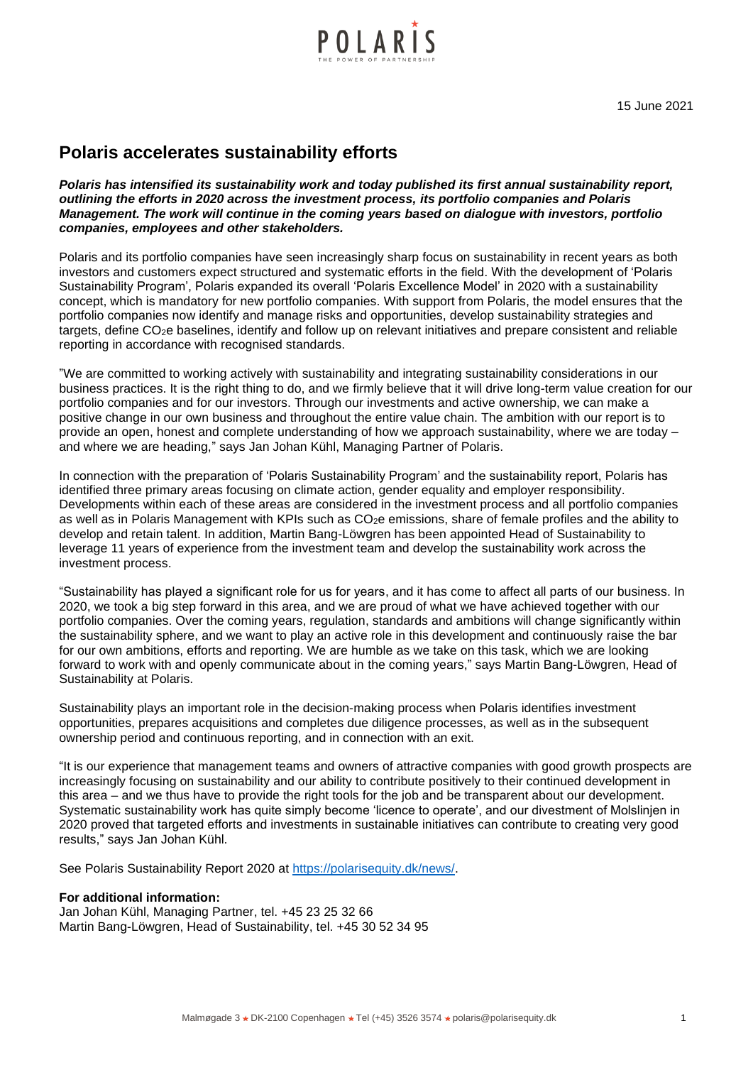

15 June 2021

## **Polaris accelerates sustainability efforts**

*Polaris has intensified its sustainability work and today published its first annual sustainability report, outlining the efforts in 2020 across the investment process, its portfolio companies and Polaris Management. The work will continue in the coming years based on dialogue with investors, portfolio companies, employees and other stakeholders.*

Polaris and its portfolio companies have seen increasingly sharp focus on sustainability in recent years as both investors and customers expect structured and systematic efforts in the field. With the development of 'Polaris Sustainability Program', Polaris expanded its overall 'Polaris Excellence Model' in 2020 with a sustainability concept, which is mandatory for new portfolio companies. With support from Polaris, the model ensures that the portfolio companies now identify and manage risks and opportunities, develop sustainability strategies and targets, define CO2e baselines, identify and follow up on relevant initiatives and prepare consistent and reliable reporting in accordance with recognised standards.

"We are committed to working actively with sustainability and integrating sustainability considerations in our business practices. It is the right thing to do, and we firmly believe that it will drive long-term value creation for our portfolio companies and for our investors. Through our investments and active ownership, we can make a positive change in our own business and throughout the entire value chain. The ambition with our report is to provide an open, honest and complete understanding of how we approach sustainability, where we are today – and where we are heading," says Jan Johan Kühl, Managing Partner of Polaris.

In connection with the preparation of 'Polaris Sustainability Program' and the sustainability report, Polaris has identified three primary areas focusing on climate action, gender equality and employer responsibility. Developments within each of these areas are considered in the investment process and all portfolio companies as well as in Polaris Management with KPIs such as CO<sub>2</sub>e emissions, share of female profiles and the ability to develop and retain talent. In addition, Martin Bang-Löwgren has been appointed Head of Sustainability to leverage 11 years of experience from the investment team and develop the sustainability work across the investment process.

"Sustainability has played a significant role for us for years, and it has come to affect all parts of our business. In 2020, we took a big step forward in this area, and we are proud of what we have achieved together with our portfolio companies. Over the coming years, regulation, standards and ambitions will change significantly within the sustainability sphere, and we want to play an active role in this development and continuously raise the bar for our own ambitions, efforts and reporting. We are humble as we take on this task, which we are looking forward to work with and openly communicate about in the coming years," says Martin Bang-Löwgren, Head of Sustainability at Polaris.

Sustainability plays an important role in the decision-making process when Polaris identifies investment opportunities, prepares acquisitions and completes due diligence processes, as well as in the subsequent ownership period and continuous reporting, and in connection with an exit.

"It is our experience that management teams and owners of attractive companies with good growth prospects are increasingly focusing on sustainability and our ability to contribute positively to their continued development in this area – and we thus have to provide the right tools for the job and be transparent about our development. Systematic sustainability work has quite simply become 'licence to operate', and our divestment of Molslinjen in 2020 proved that targeted efforts and investments in sustainable initiatives can contribute to creating very good results," says Jan Johan Kühl.

See Polaris Sustainability Report 2020 at [https://polarisequity.dk/news/.](https://polarisequity.dk/news/)

## **For additional information:**

Jan Johan Kühl, Managing Partner, tel. +45 23 25 32 66 Martin Bang-Löwgren, Head of Sustainability, tel. +45 30 52 34 95